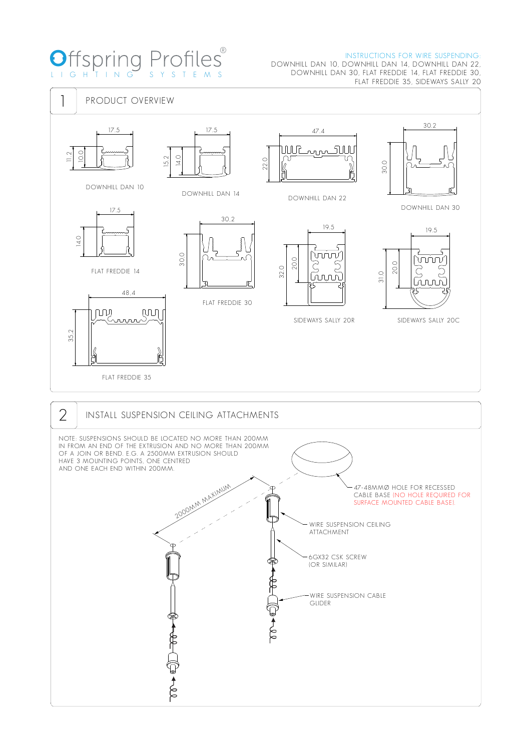#### ® INSTRUCTIONS FOR WIRE SUSPENDING:

# **Offspring Profiles®** LIG HTI N G S Y S TEM S

### DOWNHILL DAN 10, DOWNHILL DAN 14, DOWNHILL DAN 22, DOWNHILL DAN 30, FLAT FREDDIE 14, FLAT FREDDIE 30, FLAT FREDDIE 35, SIDEWAYS SALLY 20

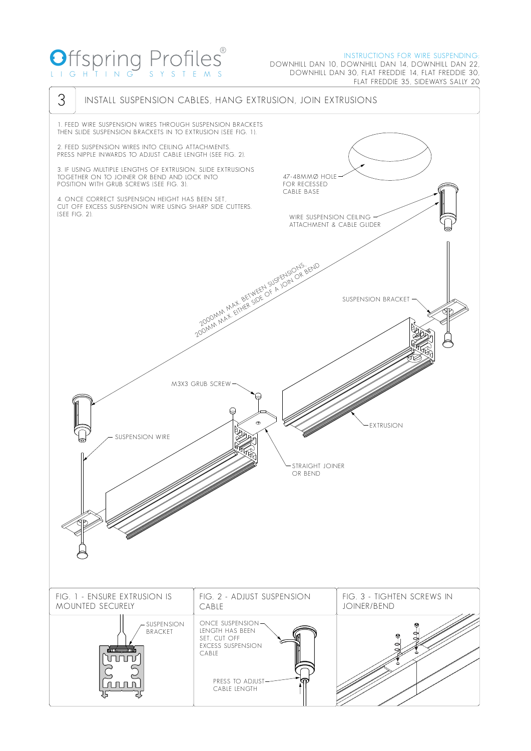## O LIG HTI N G S Y S TEM S ®

### INSTRUCTIONS FOR WIRE SUSPENDING:

DOWNHILL DAN 10, DOWNHILL DAN 14, DOWNHILL DAN 22, DOWNHILL DAN 30, FLAT FREDDIE 14, FLAT FREDDIE 30, FLAT FREDDIE 35, SIDEWAYS SALLY 20